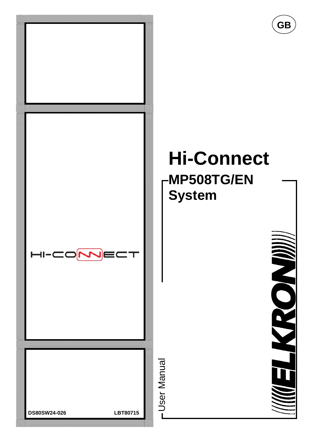

# **Hi-Connect MP508TG/EN System**

**GB**

CROW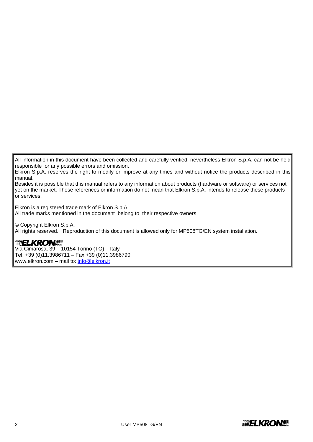All information in this document have been collected and carefully verified, nevertheless Elkron S.p.A. can not be held responsible for any possible errors and omission.

Elkron S.p.A. reserves the right to modify or improve at any times and without notice the products described in this manual.

Besides it is possible that this manual refers to any information about products (hardware or software) or services not yet on the market. These references or information do not mean that Elkron S.p.A. intends to release these products or services.

Elkron is a registered trade mark of Elkron S.p.A. All trade marks mentioned in the document belong to their respective owners.

© Copyright Elkron S.p.A. All rights reserved. Reproduction of this document is allowed only for MP508TG/EN system installation.

#### **IIIIIELKRONIIIII**

Via Cimarosa, 39 – 10154 Torino (TO) – Italy Tel. +39 (0)11.3986711 – Fax +39 (0)11.3986790 www.elkron.com – mail to:  $info@$ elkron.it

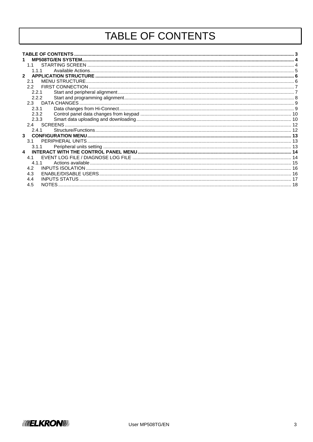# TABLE OF CONTENTS

| 11                          |  |
|-----------------------------|--|
| 111                         |  |
| $\mathbf{p}$                |  |
| <b>MENU STRUCTURE</b><br>21 |  |
| 22                          |  |
| 2.2.1                       |  |
| 2.2.2                       |  |
| 2.3                         |  |
| 2.3.1                       |  |
| 2.3.2                       |  |
| 2.3.3                       |  |
| 2.4                         |  |
| 2.4.1                       |  |
| 3                           |  |
| 31                          |  |
| 3.1.1                       |  |
| $\blacktriangle$            |  |
| 41                          |  |
| 4.1.1                       |  |
| 4.2                         |  |
| 4.3                         |  |
| 4.4                         |  |
| 4.5                         |  |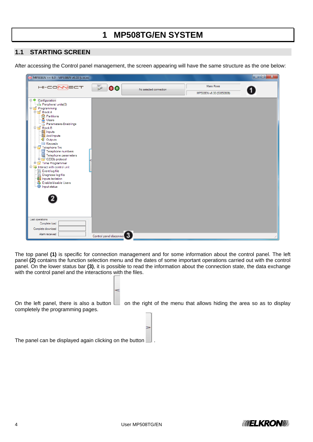### **1 MP508TG/EN SYSTEM**

#### **1.1 STARTING SCREEN**

After accessing the Control panel management, the screen appearing will have the same structure as the one below:

| MP508EN > = 6.0 - MP508EN v6.00 [v.xx.xx]                                                                                                                                                                                                                                                                                                                                                                                                                                                                                                                                     |                         |                        |                                         | $\mathbf{x}$ |
|-------------------------------------------------------------------------------------------------------------------------------------------------------------------------------------------------------------------------------------------------------------------------------------------------------------------------------------------------------------------------------------------------------------------------------------------------------------------------------------------------------------------------------------------------------------------------------|-------------------------|------------------------|-----------------------------------------|--------------|
|                                                                                                                                                                                                                                                                                                                                                                                                                                                                                                                                                                               | E<br>SR                 | No selected connection | Mario Rossi<br>MP508EN v6.00 (50850806) | 0            |
| ₽∙<br>Configuration<br><sub>ารอ</sub> ื่อ Peripheral units(0)<br><b>OF Programming</b><br><b>E</b> Block A<br><b>R</b> Partitions<br>∙ <mark>⊜</mark> Users<br>Parameters-Enablings<br><b>DIE Block B</b><br>Inputs<br>And Inputs<br>√ <sup>[</sup> Outputs<br><b>Seypads</b><br><b>Digital</b> Telephone Trx<br>Telephone numbers<br>Telephone parameters<br>由图 C200b protocol<br>由 Time Programmer<br>Interact with control unit<br>e.<br>Event log file<br>·圖 Diagnose log file<br>Inputs Isolation<br>Enable/disable Users<br>$-\bigcirc$<br>Input status<br>$\mathbf{2}$ |                         |                        |                                         |              |
| Last operations<br>Complete load<br>Complete download<br>Alarm received                                                                                                                                                                                                                                                                                                                                                                                                                                                                                                       | Control panel disconned |                        |                                         | $\therefore$ |

The top panel **(1)** is specific for connection management and for some information about the control panel. The left panel **(2)** contains the function selection menu and the dates of some important operations carried out with the control panel. On the lower status bar **(3)**, it is possible to read the information about the connection state, the data exchange with the control panel and the interactions with the files.

On the left panel, there is also a button  $\Box$  on the right of the menu that allows hiding the area so as to display completely the programming pages.

ä,

The panel can be displayed again clicking on the button .

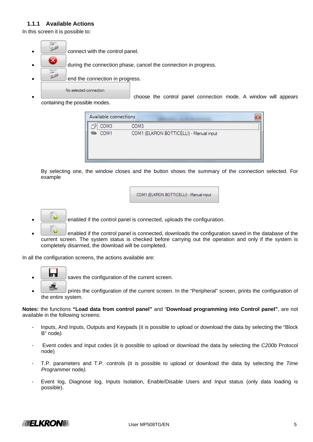#### **1.1.1 Available Actions**

In this screen it is possible to:

• connect with the control panel. during the connection phase, cancel the connection in progress.  $\mathbb{R}^{\mathbb{Z}^{\mathbb{Z}}}$  end the connection in progress. No selected connection

• choose the control panel connection mode. A window will appears

containing the possible modes.

| Available connections |                                         |
|-----------------------|-----------------------------------------|
|                       | COM3                                    |
| COM1                  | COM1 (ELKRON BOTTICELLI) - Manual input |

By selecting one, the window closes and the button shows the summary of the connection selected. For example

COM1 (ELKRON BOTTICELLI) - Manual input

- $\bullet$  enabled if the control panel is connected, uploads the configuration.
- $\bullet$  enabled if the control panel is connected, downloads the configuration saved in the database of the current screen. The system status is checked before carrying out the operation and only if the system is completely disarmed, the download will be completed.

In all the configuration screens, the actions available are:

- **FFE** saves the configuration of the current screen.
	- prints the configuration of the current screen. In the "Peripheral" screen, prints the configuration of the entire system.

**Notes:** the functions **"Load data from control panel"** and "**Download programming into Control panel"**, are not available in the following screens:

- Inputs, And Inputs, Outputs and Keypads (it is possible to upload or download the data by selecting the "Block B" node*).*
- Event codes and Input codes (it is possible to upload or download the data by selecting the *C200b* Protocol node)
- T.P. parameters and T.P. controls (it is possible to upload or download the data by selecting the *Time Programmer* node*).*
- Event log, Diagnose log, Inputs Isolation, Enable/Disable Users and Input status (only data loading is possible).

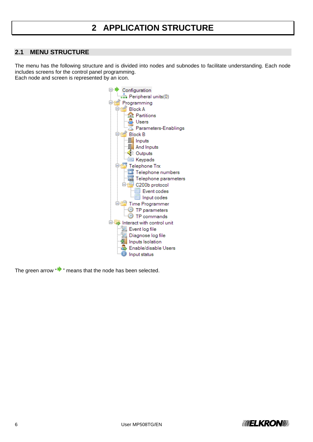#### **2.1 MENU STRUCTURE**

The menu has the following structure and is divided into nodes and subnodes to facilitate understanding. Each node includes screens for the control panel programming. Each node and screen is represented by an icon.



The green arrow "<sup>\*</sup> " means that the node has been selected.

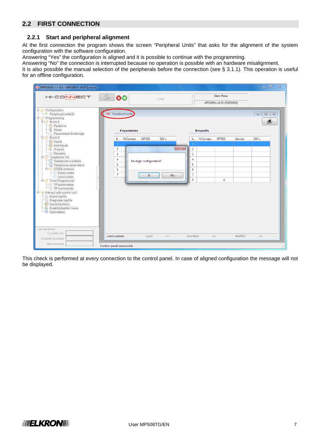#### **2.2 FIRST CONNECTION**

#### **2.2.1 Start and peripheral alignment**

At the first connection the program shows the screen "Peripheral Units" that asks for the alignment of the system configuration with the software configuration.

Answering "Yes" the configuration is aligned and it is possible to continue with the programming.

Answering "No" the connection is interrupted because no operation is possible with an hardware misalignment. It is also possible the manual selection of the peripherals before the connection (see § 3.1.1). This operation is useful for an offline configuration.

| MP508EN > = $6.0 - MP508EN v6.00 [v.xx.xx]$                                                                                                                                                                                                                                                                                                                                                                                                                                                                                                                                                                   |                                                                                                                                                                                      |                                                                         |                                |                                         |           | - 0                                                     | $\Sigma$        |
|---------------------------------------------------------------------------------------------------------------------------------------------------------------------------------------------------------------------------------------------------------------------------------------------------------------------------------------------------------------------------------------------------------------------------------------------------------------------------------------------------------------------------------------------------------------------------------------------------------------|--------------------------------------------------------------------------------------------------------------------------------------------------------------------------------------|-------------------------------------------------------------------------|--------------------------------|-----------------------------------------|-----------|---------------------------------------------------------|-----------------|
| $H - CO$ $N$ $CCT$                                                                                                                                                                                                                                                                                                                                                                                                                                                                                                                                                                                            | $\overline{\mathbb{R}}$<br>$\bullet$<br>COM3                                                                                                                                         |                                                                         |                                | Mario Rossi<br>MP508EN v6.00 (50850806) |           |                                                         |                 |
| Configuration<br>Peripheral units(0)<br>Programming<br><b>Block A</b><br><b>Int</b> Partitions<br>⊪& Users<br>Parameters-Enablings<br><b>DIE Block B</b><br>$\blacksquare$ Inputs<br>And Inputs<br>Cutputs<br>Keypads<br>Fig. Telephone Trx<br>Telephone numbers<br>Telephone parameters<br>白一 C200b protocol<br><b>Event codes</b><br>Input codes<br><b>E-F</b> Time Programmer<br>$\blacksquare$ TP parameters<br>$\oplus$ TP commands<br>Interact with control unit<br>Event log file<br>Diagnose log file<br>Inputs Isolation<br>Enable/disable Users<br>Input status<br>Last operations<br>Complete load | Peripheral units<br><b>Expansions</b><br>N Hi-Connect<br><b>MP508</b><br>SW <sub>v</sub><br>$\mathbf{1}$<br>2<br>3<br>4<br>Re-align configuration?<br>5<br>6<br>$\overline{7}$<br>Sì | $\mathbf{1}$<br>X<br>$\overline{2}$<br>3<br>4<br>5<br>6<br>7<br>No<br>8 | <b>Keypads</b><br>N Hi-Connect | <b>MP508</b><br>X                       | Service   | $\Box$<br>$\qquad \qquad \Box$<br>Š.<br>SW <sub>v</sub> | $\Sigma$        |
| Complete download                                                                                                                                                                                                                                                                                                                                                                                                                                                                                                                                                                                             | Latest updates<br>Load:<br>---                                                                                                                                                       | Download:                                                               | <b></b>                        |                                         | Modified: | $-$                                                     |                 |
| Alarm received                                                                                                                                                                                                                                                                                                                                                                                                                                                                                                                                                                                                | Control panel connected.                                                                                                                                                             |                                                                         |                                |                                         |           |                                                         | $\ddot{\cdots}$ |

This check is performed at every connection to the control panel. In case of aligned configuration the message will not be displayed.

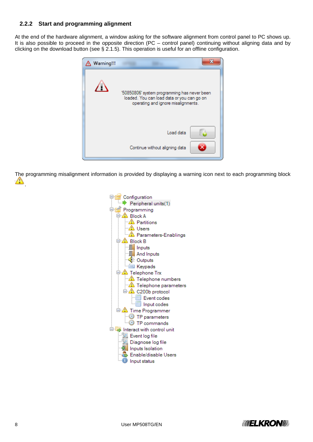#### **2.2.2 Start and programming alignment**

At the end of the hardware alignment, a window asking for the software alignment from control panel to PC shows up. It is also possible to proceed in the opposite direction (PC – control panel) continuing without aligning data and by clicking on the download button (see § 2.1.5). This operation is useful for an offline configuration.



The programming misalignment information is provided by displaying a warning icon next to each programming block  $\triangle$ .



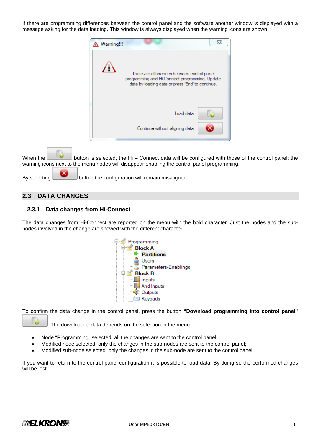If there are programming differences between the control panel and the software another window is displayed with a message asking for the data loading. This window is always displayed when the warning icons are shown.



When the button is selected, the Hi – Connect data will be configured with those of the control panel; the warning icons next to the menu nodes will disappear enabling the control panel programming. By selecting button the configuration will remain misaligned.

#### **2.3 DATA CHANGES**

#### **2.3.1 Data changes from Hi-Connect**

The data changes from Hi-Connect are reported on the menu with the bold character. Just the nodes and the subnodes involved in the change are showed with the different character.



To confirm the data change in the control panel, press the button **"Download programming into control panel"**

. The downloaded data depends on the selection in the menu:

- Node "Programming" selected, all the changes are sent to the control panel;
- Modified node selected, only the changes in the sub-nodes are sent to the control panel;
- Modified sub-node selected, only the changes in the sub-node are sent to the control panel;

If you want to return to the control panel configuration it is possible to load data. By doing so the performed changes will be lost.



ಀ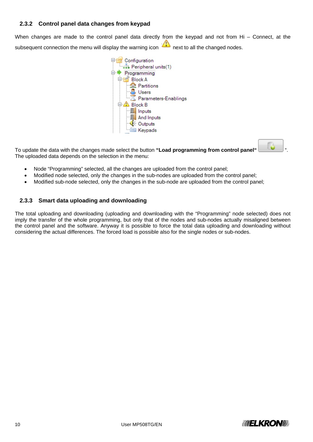#### **2.3.2 Control panel data changes from keypad**

When changes are made to the control panel data directly from the keypad and not from Hi - Connect, at the subsequent connection the menu will display the warning icon  $\mathbb{R}$  next to all the changed nodes.



To update the data with the changes made select the button **"Load programming from control panel"** ". The uploaded data depends on the selection in the menu:



- Node "Programming" selected, all the changes are uploaded from the control panel;
- Modified node selected, only the changes in the sub-nodes are uploaded from the control panel;
- Modified sub-node selected, only the changes in the sub-node are uploaded from the control panel;

#### **2.3.3 Smart data uploading and downloading**

The total uploading and downloading (uploading and downloading with the "Programming" node selected) does not imply the transfer of the whole programming, but only that of the nodes and sub-nodes actually misaligned between the control panel and the software. Anyway it is possible to force the total data uploading and downloading without considering the actual differences. The forced load is possible also for the single nodes or sub-nodes.

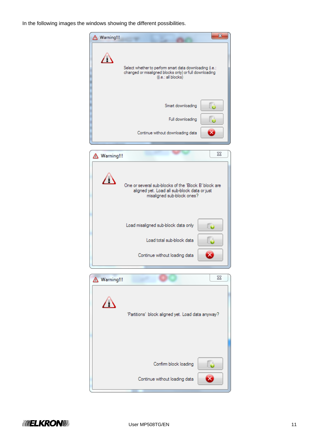In the following images the windows showing the different possibilities.





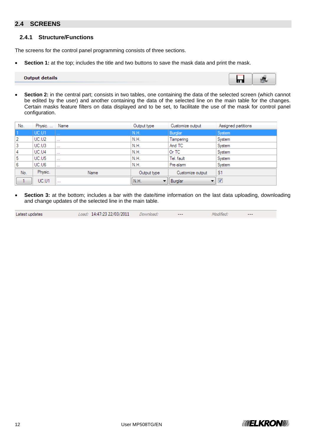#### **2.4 SCREENS**

#### **2.4.1 Structure/Functions**

The screens for the control panel programming consists of three sections.

• **Section 1:** at the top; includes the title and two buttons to save the mask data and print the mask.

#### **Output details**



• **Section 2:** in the central part; consists in two tables, one containing the data of the selected screen (which cannot be edited by the user) and another containing the data of the selected line on the main table for the changes. Certain masks feature filters on data displayed and to be set, to facilitate the use of the mask for control panel configuration.

| No. | Physic Name |              | Output type | Customize output | Assigned partitions |
|-----|-------------|--------------|-------------|------------------|---------------------|
| -1  | UC.U1       | <b>STATE</b> | N.H.        | <b>Burglar</b>   | System              |
| 2   | UC.U2       | $\cdots$     | N.H.        | Tampering        | System              |
| 3   | UC.U3       | $\cdots$     | N.H.        | And TC           | System              |
| 4   | UC.U4       | $\cdots$     | N.H.        | Or TC            | System              |
| 5   | UC.U5       | $\cdots$     | N.H.        | Tel, fault       | System              |
| 6   | UC.U6       | $\cdots$     | N.H.        | Pre-alarm        | System              |
| No. | Physic.     | Name         | Output type | Customize output | S1                  |
|     | UC.U1       | $\cdots$     | N.H.        | Burglar<br>▼     | ∣⊽                  |

• **Section 3:** at the bottom; includes a bar with the date/time information on the last data uploading, downloading and change updates of the selected line in the main table.

| Latest updates | Load: 14:47:23 22/03/2011 | Download: | $\cdots$ | Modified: | $- - -$ |  |
|----------------|---------------------------|-----------|----------|-----------|---------|--|
|                |                           |           |          |           |         |  |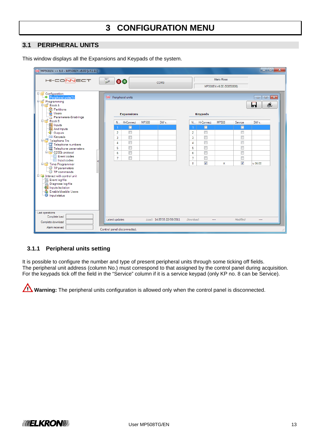# **3 CONFIGURATION MENU**

#### **3.1 PERIPHERAL UNITS**

| MP508EN > = $6.0 - MP508EN v6.00 [v.F2.10]$                                                                                                                                                      |                                                                  |                                 |                               |                                         | a e l<br>$\overline{\mathbf{x}}$                                                                                                                                                                                                                                                                                                                                                                                                                                             |
|--------------------------------------------------------------------------------------------------------------------------------------------------------------------------------------------------|------------------------------------------------------------------|---------------------------------|-------------------------------|-----------------------------------------|------------------------------------------------------------------------------------------------------------------------------------------------------------------------------------------------------------------------------------------------------------------------------------------------------------------------------------------------------------------------------------------------------------------------------------------------------------------------------|
| $H = CO$ $N$ $C = T$                                                                                                                                                                             | 画<br>SR                                                          | COM3                            |                               | Mario Rossi<br>MP508EN v6.00 (50850806) |                                                                                                                                                                                                                                                                                                                                                                                                                                                                              |
| Configuration<br>Peripheral units(1)<br><b>Die Programming</b><br><b>E</b> Block A<br><b>Int</b> Partitions<br><b>A</b> Users<br>Parameters-Enablings                                            | Peripheral units<br>$\overline{\mathbf{N}}$<br><b>Expansions</b> |                                 | <b>Keypads</b>                |                                         | $\begin{array}{c c c c c} \hline \multicolumn{1}{c }{\textbf{}} & \multicolumn{1}{c }{\textbf{}} & \multicolumn{1}{c }{\textbf{}} & \multicolumn{1}{c }{\textbf{}} & \multicolumn{1}{c }{\textbf{}} & \multicolumn{1}{c }{\textbf{}} & \multicolumn{1}{c }{\textbf{}} & \multicolumn{1}{c }{\textbf{}} & \multicolumn{1}{c }{\textbf{}} & \multicolumn{1}{c }{\textbf{}} & \multicolumn{1}{c }{\textbf{}} & \multicolumn{1}{c }{\textbf{}} & \multicolumn{1}{c }{$<br>ä<br>ш |
| <b>E</b> Block B                                                                                                                                                                                 | N., Hi-Connect                                                   | <b>MP508</b><br>SW <sub>v</sub> | N Hi-Connect                  | <b>MP508</b><br>Service                 | SW <sub>v</sub>                                                                                                                                                                                                                                                                                                                                                                                                                                                              |
| Inputs<br>And Inputs                                                                                                                                                                             | П                                                                |                                 | $\blacksquare$                | E                                       |                                                                                                                                                                                                                                                                                                                                                                                                                                                                              |
| √ Outputs                                                                                                                                                                                        | $\Box$<br>$\overline{2}$                                         |                                 | $\Box$<br>$\overline{2}$      | $\Box$                                  |                                                                                                                                                                                                                                                                                                                                                                                                                                                                              |
| <b>Keypads</b>                                                                                                                                                                                   | $\Box$<br>3                                                      |                                 | $\overline{\phantom{a}}$<br>3 | $\Box$                                  |                                                                                                                                                                                                                                                                                                                                                                                                                                                                              |
| <b>E</b> Telephone Trx<br>Telephone numbers                                                                                                                                                      | $\overline{\phantom{a}}$<br>4                                    |                                 | $\overline{\phantom{a}}$<br>4 | $\Box$                                  |                                                                                                                                                                                                                                                                                                                                                                                                                                                                              |
| Telephone parameters                                                                                                                                                                             | $\overline{\phantom{a}}$<br>5                                    |                                 | $\Box$<br>5                   | $\Box$                                  |                                                                                                                                                                                                                                                                                                                                                                                                                                                                              |
| 白图 C200b protocol                                                                                                                                                                                | $\overline{\phantom{a}}$<br>6                                    |                                 | $\overline{\phantom{a}}$<br>6 | $\overline{\phantom{a}}$                |                                                                                                                                                                                                                                                                                                                                                                                                                                                                              |
| ⊪ Event codes<br>·圃 Input codes                                                                                                                                                                  | $\overline{\phantom{a}}$<br>$\overline{7}$                       |                                 | $\Box$<br>$\overline{7}$      | $\blacksquare$                          |                                                                                                                                                                                                                                                                                                                                                                                                                                                                              |
| <b>E-F</b> Time Programmer                                                                                                                                                                       |                                                                  |                                 | V<br>8                        | V<br>X                                  | v.06.00                                                                                                                                                                                                                                                                                                                                                                                                                                                                      |
| •© TP parameters<br><b>O</b> TP commands<br>Interact with control unit<br>Event log file<br>Diagnose log file<br>Inputs Isolation<br>· <mark>A</mark> Enable/disable Users<br>·O<br>Input status |                                                                  |                                 |                               |                                         |                                                                                                                                                                                                                                                                                                                                                                                                                                                                              |
| Last operations                                                                                                                                                                                  |                                                                  |                                 |                               |                                         |                                                                                                                                                                                                                                                                                                                                                                                                                                                                              |
| Complete load                                                                                                                                                                                    | Latest updates                                                   | Load: 14:37:55 22/03/2011       | Download:                     | Modified:<br><u>.</u>                   |                                                                                                                                                                                                                                                                                                                                                                                                                                                                              |
| Complete download                                                                                                                                                                                |                                                                  |                                 |                               |                                         |                                                                                                                                                                                                                                                                                                                                                                                                                                                                              |
| Alarm received                                                                                                                                                                                   | Control panel disconnected.                                      |                                 |                               |                                         | $\therefore$                                                                                                                                                                                                                                                                                                                                                                                                                                                                 |

This window displays all the Expansions and Keypads of the system.

#### **3.1.1 Peripheral units setting**

It is possible to configure the number and type of present peripheral units through some ticking off fields. The peripheral unit address (column No.) must correspond to that assigned by the control panel during acquisition. For the keypads tick off the field in the "Service" column if it is a service keypad (only KP no. 8 can be Service).

Warning: The peripheral units configuration is allowed only when the control panel is disconnected.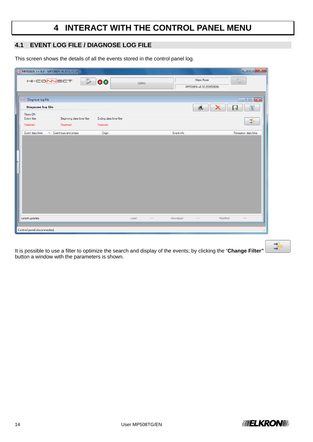# **4 INTERACT WITH THE CONTROL PANEL MENU**

#### **4.1 EVENT LOG FILE / DIAGNOSE LOG FILE**

This screen shows the details of all the events stored in the control panel log.

| MP508EN > = 6.0 - MP508EN v6.00 [v.F2.10]                        |                                    |              |                                         |                      |  |  |  |
|------------------------------------------------------------------|------------------------------------|--------------|-----------------------------------------|----------------------|--|--|--|
| 画<br>$H1-CONW\in\mathbb{C}$                                      | SR                                 | COM3         | Mario Rossi<br>MP508EN v6.00 (50850806) | w                    |  |  |  |
| $\boxed{\text{NN}}$<br>Diagnose log file                         |                                    |              |                                         | $\Box$ $\Box$ $\Box$ |  |  |  |
| <b>Diagnose log file</b>                                         |                                    |              | Š.<br>х                                 | 匱<br>良               |  |  |  |
| Filters ON                                                       |                                    |              |                                         |                      |  |  |  |
| Event filter<br>Beginning date/time filter<br>Disamed<br>Disamed | Ending date/time filter<br>Disamed |              |                                         | ∌                    |  |  |  |
|                                                                  |                                    |              |                                         |                      |  |  |  |
| $\blacktriangledown$ Event type and phase<br>Event date/time     | Origin                             |              | Event info                              | Reception date/time  |  |  |  |
|                                                                  |                                    |              |                                         |                      |  |  |  |
| ╙                                                                |                                    |              |                                         |                      |  |  |  |
|                                                                  |                                    |              |                                         |                      |  |  |  |
| ⊩                                                                |                                    |              |                                         |                      |  |  |  |
|                                                                  |                                    |              |                                         |                      |  |  |  |
|                                                                  |                                    |              |                                         |                      |  |  |  |
|                                                                  |                                    |              |                                         |                      |  |  |  |
|                                                                  |                                    |              |                                         |                      |  |  |  |
|                                                                  |                                    |              |                                         |                      |  |  |  |
|                                                                  |                                    |              |                                         |                      |  |  |  |
|                                                                  |                                    |              |                                         |                      |  |  |  |
| Latest updates                                                   |                                    | Load:<br>--- | Modified:<br>Download:<br>$-$           | <b></b>              |  |  |  |
|                                                                  |                                    |              |                                         |                      |  |  |  |
| Control panel disconnected.                                      |                                    |              |                                         | $\cdot$              |  |  |  |

It is possible to use a filter to optimize the search and display of the events; by clicking the "**Change Filter"** button a window with the parameters is shown.



 $\Rightarrow$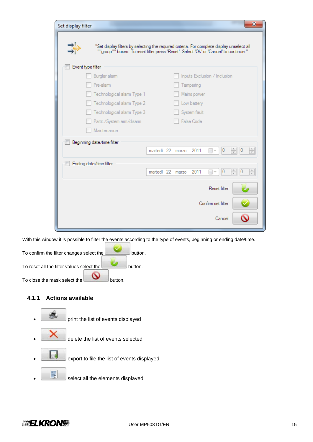| Set display filter         | $\mathbf{x}$                                                                                                                                                                        |
|----------------------------|-------------------------------------------------------------------------------------------------------------------------------------------------------------------------------------|
|                            | "Set display filters by selecting the required criteria. For complete display unselect all<br>""group"" boxes. To reset filter press 'Reset'. Select 'Ok' or 'Cancel' to continue." |
| Event type filter          |                                                                                                                                                                                     |
| Burglar alarm              | Inputs Exclusion / Inclusion                                                                                                                                                        |
| Pre-alarm                  | Tampering                                                                                                                                                                           |
| Technological alam Type 1  | Mains power                                                                                                                                                                         |
| Technological alam Type 2  | Low battery                                                                                                                                                                         |
| Technological alam Type 3  | System fault                                                                                                                                                                        |
| Partit./System arm/disarm  | False Code                                                                                                                                                                          |
| Maintenance                |                                                                                                                                                                                     |
| Beginning date/time filter | $\frac{\triangle}{\mathbf{v}}$<br>$\frac{1}{\sqrt{2}}$ 0<br>0<br>martedì 22<br>2011<br>⊞∽<br>marzo                                                                                  |
|                            |                                                                                                                                                                                     |
| Ending date/time filter    | $\frac{\triangle}{\mathbf{v}}$<br>$\frac{\triangle}{\tau}$<br>martedì 22 marzo<br>2011<br>0<br>0<br>⊞∽                                                                              |
|                            | Reset filter                                                                                                                                                                        |
|                            | Confirm set filter                                                                                                                                                                  |
|                            | Cancel                                                                                                                                                                              |

With this window it is possible to filter the events according to the type of events, beginning or ending date/time.

To confirm the filter changes select the **button**. To reset all the filter values select the **button**. To close the mask select the  $\bigotimes$  button.

#### **4.1.1 Actions available**

- print the list of events displayed
	- delete the list of events selected
- export to file the list of events displayed
- $\left| \begin{array}{c} \hline \ \hline \ \hline \ \hline \ \end{array} \right|$  select all the elements displayed

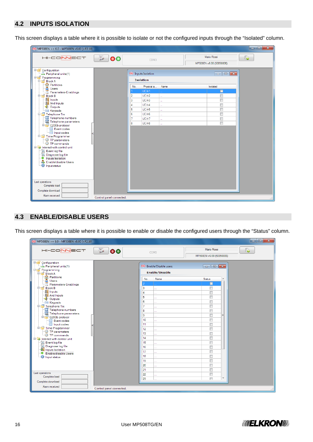#### **4.2 INPUTS ISOLATION**

This screen displays a table where it is possible to isolate or not the configured inputs through the "Isolated" column.

| MP508EN > = 6.0 - MP508EN v6.00 [v.F2.10]                                                                                                                                                                                                                                                                                                                                                                                                                                                                                                                                                                                                                                           |                          |                                                     |                                                                                                                                      |                                      |                                                                                                                                                                  | $\mathbf{x}$<br>ا کار د |
|-------------------------------------------------------------------------------------------------------------------------------------------------------------------------------------------------------------------------------------------------------------------------------------------------------------------------------------------------------------------------------------------------------------------------------------------------------------------------------------------------------------------------------------------------------------------------------------------------------------------------------------------------------------------------------------|--------------------------|-----------------------------------------------------|--------------------------------------------------------------------------------------------------------------------------------------|--------------------------------------|------------------------------------------------------------------------------------------------------------------------------------------------------------------|-------------------------|
| $H = CO(M)C = C T$                                                                                                                                                                                                                                                                                                                                                                                                                                                                                                                                                                                                                                                                  | Đ<br>$\bullet\bullet$    |                                                     | COM <sub>3</sub>                                                                                                                     |                                      | Mario Rossi<br>MP508EN v6.00 (50850806)                                                                                                                          | 6                       |
| Configuration<br>and Peripheral units(1)<br><b>Programming</b><br><b>Digit Block A</b><br><b>A</b> Partitions<br>& Users<br>Parameters-Enablings<br><b>E-P Block B</b><br><b>Inputs</b><br>And Inputs<br><b>Outputs</b><br><b>Keypads</b><br><b>Electric Trx</b><br>Telephone numbers<br>Telephone parameters<br>自中 C200b protocol<br>⊪ Event codes<br>·图 Input codes<br><b>E-P</b> Time Programmer<br><sup>O</sup> TP parameters<br><sup>-</sup> <sup><sup>o</sup> TP commands</sup><br>Interact with control unit<br>Event log file<br>图 Diagnose log file<br>Inputs Isolation<br>۰<br><b>&amp;</b> Enable/disable Users<br>⊕<br>Input status<br>Last operations<br>Complete load |                          | No.<br>$\overline{2}$<br>3<br>4<br>5<br>6<br>7<br>8 | M Inputs Isolation<br><b>Isolation</b><br>Physical a<br>UC.In1<br>UC.In2<br>UC.In3<br>UC.In4<br>UC.In5<br>UC.In6<br>UC.In7<br>UC.In8 | Name<br>$\ddotsc$<br><br><br>ш<br>m. | Isolated<br>$\Box$<br>$\overline{\phantom{a}}$<br>$\overline{\phantom{a}}$<br>$\Box$<br>$\overline{\phantom{a}}$<br>$\Box$<br>$\Box$<br>$\overline{\phantom{a}}$ |                         |
| Complete download<br>Alarm received                                                                                                                                                                                                                                                                                                                                                                                                                                                                                                                                                                                                                                                 | Control panel connected. |                                                     |                                                                                                                                      |                                      |                                                                                                                                                                  | лì.                     |

#### **4.3 ENABLE/DISABLE USERS**

This screen displays a table where it is possible to enable or disable the configured users through the "Status" column.

| Mario Rossi<br>6<br>Đ<br>S(R)<br>COM3<br>MP508EN v6.00 (50850806)<br>Configuration<br>าร์ล Peripheral units(1)<br>M Enable/Disable users<br>$\begin{array}{c c c c c} \hline \multicolumn{3}{c }{\mathbf{C}} & \multicolumn{3}{c }{\mathbf{C}} & \multicolumn{3}{c }{\mathbf{X}} \end{array}$<br><b>Programming</b><br><b>Enable/Disable</b><br><b>E</b> Block A<br><b>Int</b> Partitions<br>Name<br>No.<br><b>Status</b><br><b>A</b> Users<br>$\Box$<br>Parameters-Enablings<br><b>E</b> Block B<br>$\Box$<br>3<br><br><b>Inputs</b><br>П<br>ш.<br>And Inputs<br>П<br>5<br>u.<br><b>C</b> C Outputs<br>П<br>6<br><b>Keypads</b><br>ш.<br>П<br><b>Elfons</b> Telephone Trx<br>7<br>$\ddotsc$<br>Telephone numbers<br>П<br>8<br>ш.<br>Telephone parameters<br>П<br>Ξ<br>9<br><br>白子 C200b protocol<br>П<br>10<br>Event codes<br>ш.<br>$\Box$<br>Input codes<br>11<br>i.<br>自 Time Programmer<br>П<br>12<br>i.<br><b>O</b> TP parameters<br>П<br>13<br>ùч<br><b>O</b> TP commands<br>$\Box$<br>14<br>Interact with control unit<br>i.<br>$\Box$<br>图 Event log file<br>15<br>i.<br>僵<br>Diagnose log file<br>П<br>16<br>ш,<br>Inputs Isolation<br>П<br>17<br>ш<br>Enable/disable Users<br>П<br>18<br>Input status<br>u.<br>$\Box$<br>19<br><br>$\Box$<br>20<br>ш<br>$\Box$<br>21<br>u,<br>Last operations<br>$\Box$<br>22<br>ш<br>Complete load<br>$\overline{\phantom{a}}$<br>П<br>23<br>.<br>Complete download<br>Alam received | MP508EN > = 6.0 - MP508EN v6.00 [v.F2.10] |                          |  | أكأدها<br>$\mathbf{x}$ |
|---------------------------------------------------------------------------------------------------------------------------------------------------------------------------------------------------------------------------------------------------------------------------------------------------------------------------------------------------------------------------------------------------------------------------------------------------------------------------------------------------------------------------------------------------------------------------------------------------------------------------------------------------------------------------------------------------------------------------------------------------------------------------------------------------------------------------------------------------------------------------------------------------------------------------------------------------------------------------------------------------------------------------------------------------------------------------------------------------------------------------------------------------------------------------------------------------------------------------------------------------------------------------------------------------------------------------------------------------------------------------------------------------------------------------------|-------------------------------------------|--------------------------|--|------------------------|
|                                                                                                                                                                                                                                                                                                                                                                                                                                                                                                                                                                                                                                                                                                                                                                                                                                                                                                                                                                                                                                                                                                                                                                                                                                                                                                                                                                                                                                 |                                           |                          |  |                        |
|                                                                                                                                                                                                                                                                                                                                                                                                                                                                                                                                                                                                                                                                                                                                                                                                                                                                                                                                                                                                                                                                                                                                                                                                                                                                                                                                                                                                                                 |                                           |                          |  |                        |
|                                                                                                                                                                                                                                                                                                                                                                                                                                                                                                                                                                                                                                                                                                                                                                                                                                                                                                                                                                                                                                                                                                                                                                                                                                                                                                                                                                                                                                 |                                           | Control panel connected. |  | -33                    |

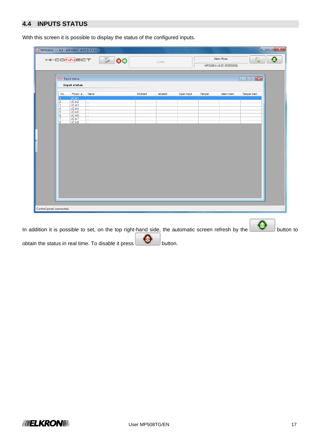#### **4.4 INPUTS STATUS**

 $MPS08EN > = 6.0 - MP508EN v6.00 [v.F2.10]$  $H - CO$ MECT **DO** Mario Rossi  $\bullet$  $COM3$ MP508EN v6.00 (50850806) M Input status **Input status** No Physic, a... Name  $\label{center} \mbox{Inhibited}$  $\sf Isolated$ Open Input Tamper Alam mem Tamper mem UC.In1<br>
UC.In2<br>
UC.In4<br>
UC.In5<br>
UC.In5<br>
UC.In7<br>
UC.In8  $\epsilon$ Control panel connected. In addition it is possible to set, on the top right-hand side, the automatic screen refresh by the **button** to

With this screen it is possible to display the status of the configured inputs.

obtain the status in real time. To disable it press button.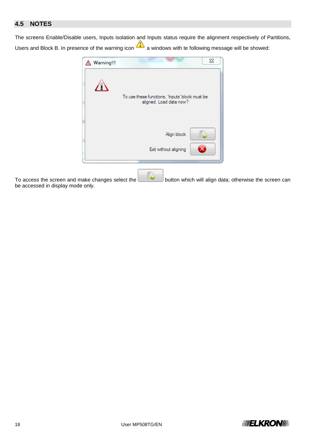#### **4.5 NOTES**

The screens Enable/Disable users, Inputs isolation and Inputs status require the alignment respectively of Partitions, Users and Block B. In presence of the warning icon  $\overline{\triangle}$  a windows with te following message will be showed:



To access the screen and make changes select the **button which will align data; otherwise the screen can** be accessed in display mode only.

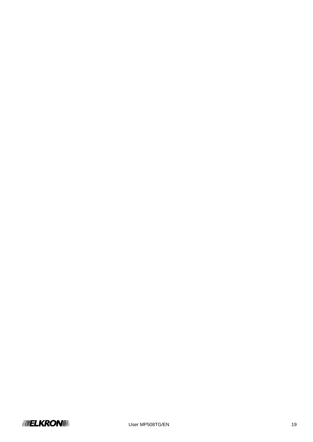